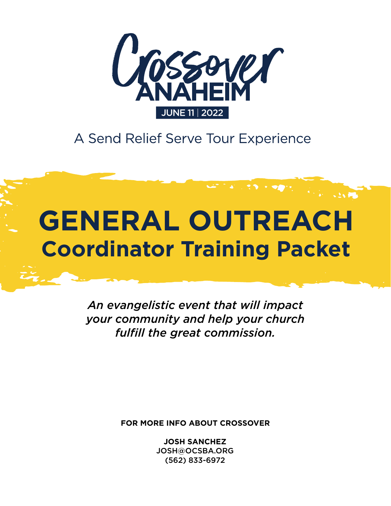

A Send Relief Serve Tour Experience

# **GENERAL OUTREACH Coordinator Training Packet**

*An evangelistic event that will impact your community and help your church fulfill the great commission.*

**FOR MORE INFO ABOUT CROSSOVER**

**JOSH SANCHEZ** JOSH@OCSBA.ORG (562) 833-6972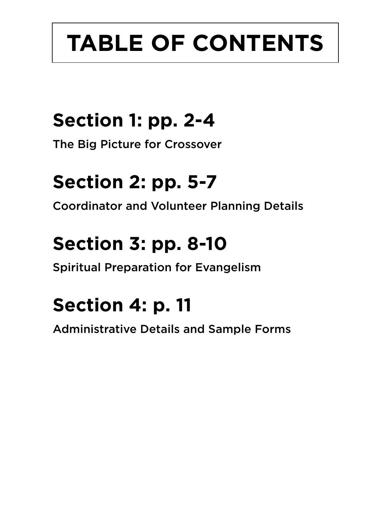# **TABLE OF CONTENTS**

# **Section 1: pp. 2-4**

The Big Picture for Crossover

## **Section 2: pp. 5-7**

Coordinator and Volunteer Planning Details

# **Section 3: pp. 8-10**

Spiritual Preparation for Evangelism

## **Section 4: p. 11**

Administrative Details and Sample Forms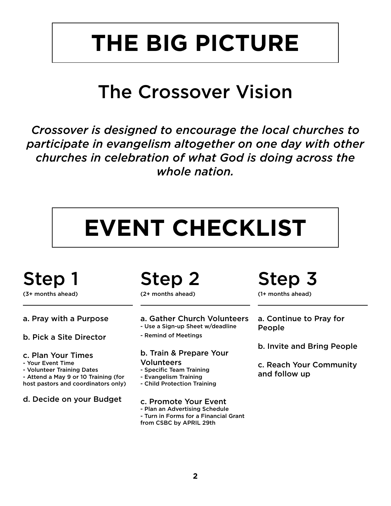# **THE BIG PICTURE**

## The Crossover Vision

*Crossover is designed to encourage the local churches to participate in evangelism altogether on one day with other churches in celebration of what God is doing across the whole nation.*

# **EVENT CHECKLIST**

## Step 1

(3+ months ahead)

#### a. Pray with a Purpose

- b. Pick a Site Director
- c. Plan Your Times
- Your Event Time
- Volunteer Training Dates
- Attend a May 9 or 10 Training (for host pastors and coordinators only)
- d. Decide on your Budget

## Step 2

(2+ months ahead)

- a. Gather Church Volunteers - Use a Sign-up Sheet w/deadline
- Remind of Meetings

#### b. Train & Prepare Your Volunteers

- Specific Team Training
- Evangelism Training
- Child Protection Training

#### c. Promote Your Event

- Plan an Advertising Schedule - Turn in Forms for a Financial Grant
- from CSBC by APRIL 29th

## Step 3

(1+ months ahead)

- a. Continue to Pray for People
- b. Invite and Bring People
- c. Reach Your Community and follow up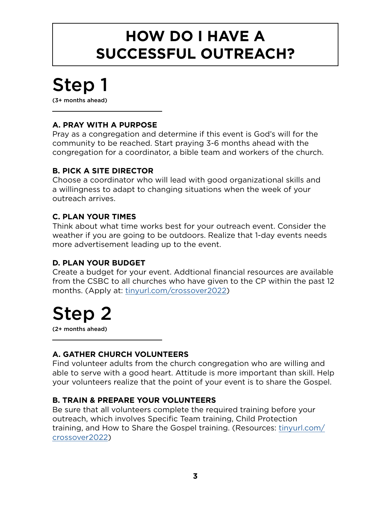### **HOW DO I HAVE A SUCCESSFUL OUTREACH?**

## Step 1

(3+ months ahead)

#### **A. PRAY WITH A PURPOSE**

Pray as a congregation and determine if this event is God's will for the community to be reached. Start praying 3-6 months ahead with the congregation for a coordinator, a bible team and workers of the church.

#### **B. PICK A SITE DIRECTOR**

Choose a coordinator who will lead with good organizational skills and a willingness to adapt to changing situations when the week of your outreach arrives.

#### **C. PLAN YOUR TIMES**

Think about what time works best for your outreach event. Consider the weather if you are going to be outdoors. Realize that 1-day events needs more advertisement leading up to the event.

#### **D. PLAN YOUR BUDGET**

Create a budget for your event. Addtional financial resources are available from the CSBC to all churches who have given to the CP within the past 12 months. (Apply at: [tinyurl.com/crossover2022\)](http://tinyurl.com/crossover2022)

## Step 2

(2+ months ahead)

#### **A. GATHER CHURCH VOLUNTEERS**

Find volunteer adults from the church congregation who are willing and able to serve with a good heart. Attitude is more important than skill. Help your volunteers realize that the point of your event is to share the Gospel.

#### **B. TRAIN & PREPARE YOUR VOLUNTEERS**

Be sure that all volunteers complete the required training before your outreach, which involves Specific Team training, Child Protection training, and How to Share the Gospel training. (Resources: [tinyurl.com/](http://tinyurl.com/crossover2022) [crossover2022](http://tinyurl.com/crossover2022))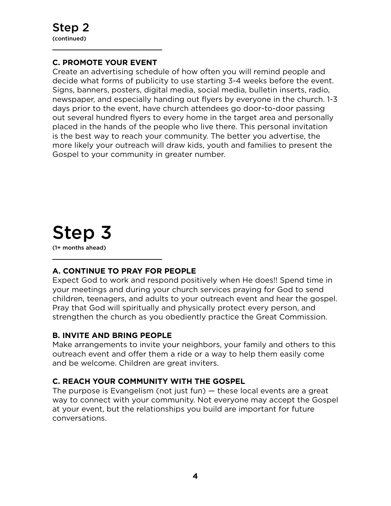#### **C. PROMOTE YOUR EVENT**

Create an advertising schedule of how often you will remind people and decide what forms of publicity to use starting 3-4 weeks before the event. Signs, banners, posters, digital media, social media, bulletin inserts, radio, newspaper, and especially handing out flyers by everyone in the church. 1-3 days prior to the event, have church attendees go door-to-door passing out several hundred flyers to every home in the target area and personally placed in the hands of the people who live there. This personal invitation is the best way to reach your community. The better you advertise, the more likely your outreach will draw kids, youth and families to present the Gospel to your community in greater number.

### Step 3 (1+ months ahead)

#### **A. CONTINUE TO PRAY FOR PEOPLE**

Expect God to work and respond positively when He does!! Spend time in your meetings and during your church services praying for God to send children, teenagers, and adults to your outreach event and hear the gospel. Pray that God will spiritually and physically protect every person, and strengthen the church as you obediently practice the Great Commission.

#### **B. INVITE AND BRING PEOPLE**

Make arrangements to invite your neighbors, your family and others to this outreach event and offer them a ride or a way to help them easily come and be welcome. Children are great inviters.

#### **C. REACH YOUR COMMUNITY WITH THE GOSPEL**

The purpose is Evangelism (not just fun) — these local events are a great way to connect with your community. Not everyone may accept the Gospel at your event, but the relationships you build are important for future conversations.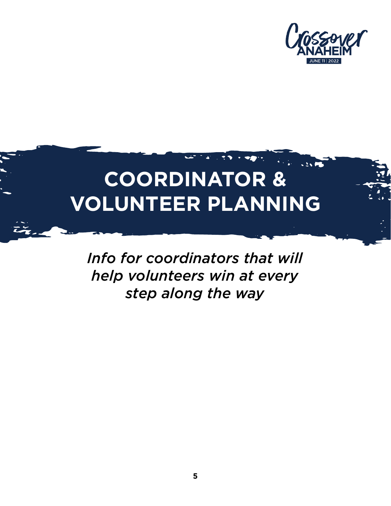

# **COORDINATOR & VOLUNTEER PLANNING**

*Info for coordinators that will help volunteers win at every step along the way*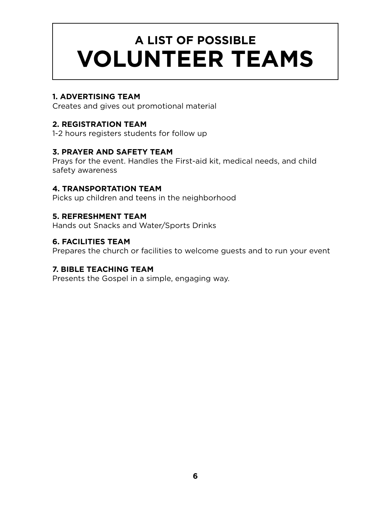## **A LIST OF POSSIBLE VOLUNTEER TEAMS**

#### **1. ADVERTISING TEAM**

Creates and gives out promotional material

#### **2. REGISTRATION TEAM**

1-2 hours registers students for follow up

#### **3. PRAYER AND SAFETY TEAM**

Prays for the event. Handles the First-aid kit, medical needs, and child safety awareness

#### **4. TRANSPORTATION TEAM**

Picks up children and teens in the neighborhood

#### **5. REFRESHMENT TEAM**

Hands out Snacks and Water/Sports Drinks

#### **6. FACILITIES TEAM**

Prepares the church or facilities to welcome guests and to run your event

#### **7. BIBLE TEACHING TEAM**

Presents the Gospel in a simple, engaging way.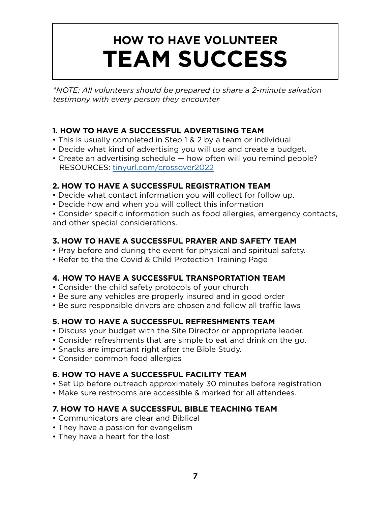## **HOW TO HAVE VOLUNTEER TEAM SUCCESS**

*\*NOTE: All volunteers should be prepared to share a 2-minute salvation testimony with every person they encounter*

#### **1. HOW TO HAVE A SUCCESSFUL ADVERTISING TEAM**

- This is usually completed in Step 1 & 2 by a team or individual
- Decide what kind of advertising you will use and create a budget.
- Create an advertising schedule how often will you remind people? RESOURCES: [tinyurl.com/crossover2022](http://tinyurl.com/crossover2022)

#### **2. HOW TO HAVE A SUCCESSFUL REGISTRATION TEAM**

- Decide what contact information you will collect for follow up.
- Decide how and when you will collect this information

• Consider specific information such as food allergies, emergency contacts, and other special considerations.

#### **3. HOW TO HAVE A SUCCESSFUL PRAYER AND SAFETY TEAM**

- Pray before and during the event for physical and spiritual safety.
- Refer to the the Covid & Child Protection Training Page

#### **4. HOW TO HAVE A SUCCESSFUL TRANSPORTATION TEAM**

- Consider the child safety protocols of your church
- Be sure any vehicles are properly insured and in good order
- Be sure responsible drivers are chosen and follow all traffic laws

#### **5. HOW TO HAVE A SUCCESSFUL REFRESHMENTS TEAM**

- Discuss your budget with the Site Director or appropriate leader.
- Consider refreshments that are simple to eat and drink on the go.
- Snacks are important right after the Bible Study.
- Consider common food allergies

#### **6. HOW TO HAVE A SUCCESSFUL FACILITY TEAM**

- Set Up before outreach approximately 30 minutes before registration
- Make sure restrooms are accessible & marked for all attendees.

#### **7. HOW TO HAVE A SUCCESSFUL BIBLE TEACHING TEAM**

- Communicators are clear and Biblical
- They have a passion for evangelism
- They have a heart for the lost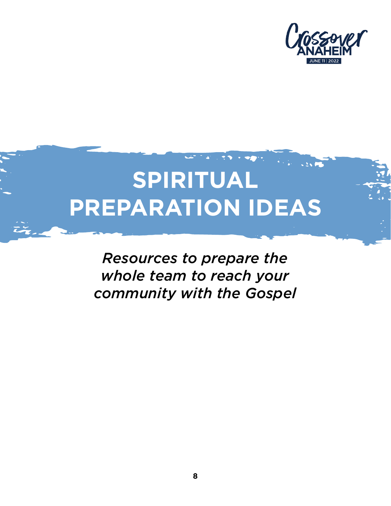

# **SPIRITUAL PREPARATION IDEAS**

*Resources to prepare the whole team to reach your community with the Gospel*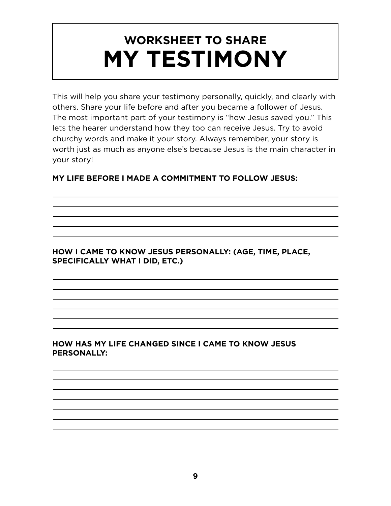## **WORKSHEET TO SHARE MY TESTIMONY**

This will help you share your testimony personally, quickly, and clearly with others. Share your life before and after you became a follower of Jesus. The most important part of your testimony is "how Jesus saved you." This lets the hearer understand how they too can receive Jesus. Try to avoid churchy words and make it your story. Always remember, your story is worth just as much as anyone else's because Jesus is the main character in your story!

#### **MY LIFE BEFORE I MADE A COMMITMENT TO FOLLOW JESUS:**

#### **HOW I CAME TO KNOW JESUS PERSONALLY: (AGE, TIME, PLACE, SPECIFICALLY WHAT I DID, ETC.)**

#### **HOW HAS MY LIFE CHANGED SINCE I CAME TO KNOW JESUS PERSONALLY:**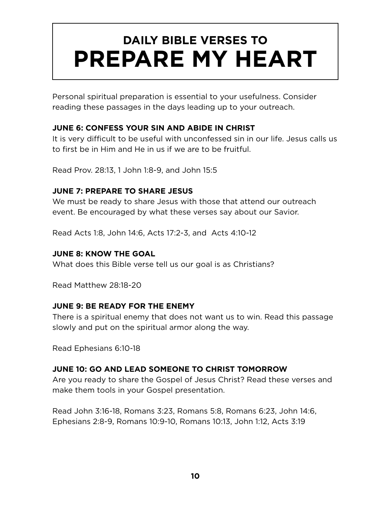## **DAILY BIBLE VERSES TO PREPARE MY HEART**

Personal spiritual preparation is essential to your usefulness. Consider reading these passages in the days leading up to your outreach.

#### **JUNE 6: CONFESS YOUR SIN AND ABIDE IN CHRIST**

It is very difficult to be useful with unconfessed sin in our life. Jesus calls us to first be in Him and He in us if we are to be fruitful.

Read Prov. 28:13, 1 John 1:8-9, and John 15:5

#### **JUNE 7: PREPARE TO SHARE JESUS**

We must be ready to share Jesus with those that attend our outreach event. Be encouraged by what these verses say about our Savior.

Read Acts 1:8, John 14:6, Acts 17:2-3, and Acts 4:10-12

#### **JUNE 8: KNOW THE GOAL**

What does this Bible verse tell us our goal is as Christians?

Read Matthew 28:18-20

#### **JUNE 9: BE READY FOR THE ENEMY**

There is a spiritual enemy that does not want us to win. Read this passage slowly and put on the spiritual armor along the way.

Read Ephesians 6:10-18

#### **JUNE 10: GO AND LEAD SOMEONE TO CHRIST TOMORROW**

Are you ready to share the Gospel of Jesus Christ? Read these verses and make them tools in your Gospel presentation.

Read John 3:16-18, Romans 3:23, Romans 5:8, Romans 6:23, John 14:6, Ephesians 2:8-9, Romans 10:9-10, Romans 10:13, John 1:12, Acts 3:19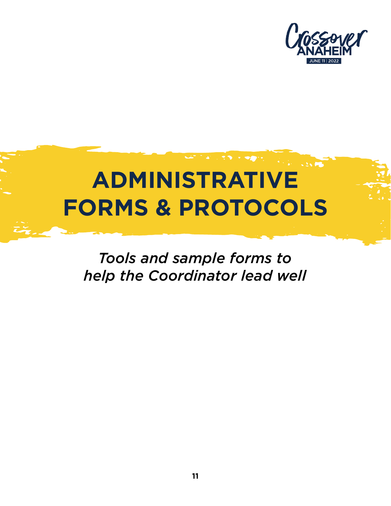

## $\sim$ **ADMINISTRATIVE FORMS & PROTOCOLS**

*Tools and sample forms to help the Coordinator lead well*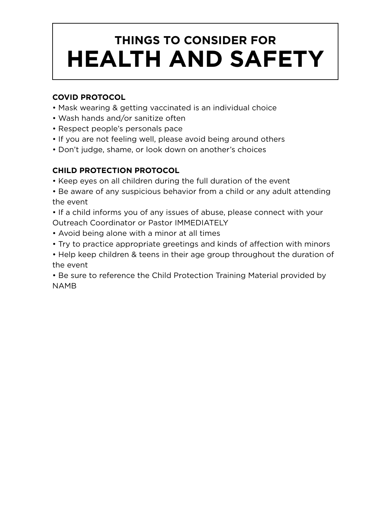## **THINGS TO CONSIDER FOR HEALTH AND SAFETY**

#### **COVID PROTOCOL**

- Mask wearing & getting vaccinated is an individual choice
- Wash hands and/or sanitize often
- Respect people's personals pace
- If you are not feeling well, please avoid being around others
- Don't judge, shame, or look down on another's choices

#### **CHILD PROTECTION PROTOCOL**

- Keep eyes on all children during the full duration of the event
- Be aware of any suspicious behavior from a child or any adult attending the event
- If a child informs you of any issues of abuse, please connect with your Outreach Coordinator or Pastor IMMEDIATELY
- Avoid being alone with a minor at all times
- Try to practice appropriate greetings and kinds of affection with minors
- Help keep children & teens in their age group throughout the duration of the event

• Be sure to reference the Child Protection Training Material provided by NAMB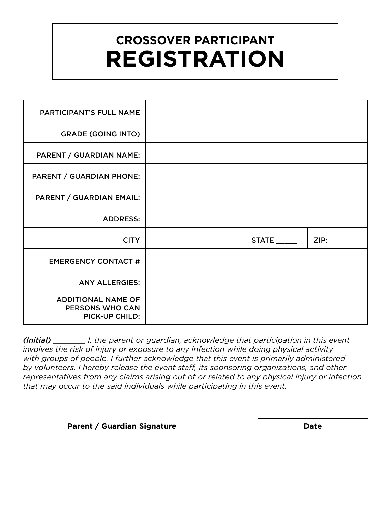## **CROSSOVER PARTICIPANT REGISTRATION**

| <b>PARTICIPANT'S FULL NAME</b>                                        |       |      |
|-----------------------------------------------------------------------|-------|------|
| <b>GRADE (GOING INTO)</b>                                             |       |      |
| PARENT / GUARDIAN NAME:                                               |       |      |
| <b>PARENT / GUARDIAN PHONE:</b>                                       |       |      |
| PARENT / GUARDIAN EMAIL:                                              |       |      |
| <b>ADDRESS:</b>                                                       |       |      |
| <b>CITY</b>                                                           | STATE | ZIP: |
| <b>EMERGENCY CONTACT #</b>                                            |       |      |
| <b>ANY ALLERGIES:</b>                                                 |       |      |
| <b>ADDITIONAL NAME OF</b><br>PERSONS WHO CAN<br><b>PICK-UP CHILD:</b> |       |      |

*(Initial) \_\_\_\_\_\_\_ I, the parent or guardian, acknowledge that participation in this event involves the risk of injury or exposure to any infection while doing physical activity with groups of people. I further acknowledge that this event is primarily administered by volunteers. I hereby release the event staff, its sponsoring organizations, and other representatives from any claims arising out of or related to any physical injury or infection that may occur to the said individuals while participating in this event.*

#### **Parent / Guardian Signature Date Date**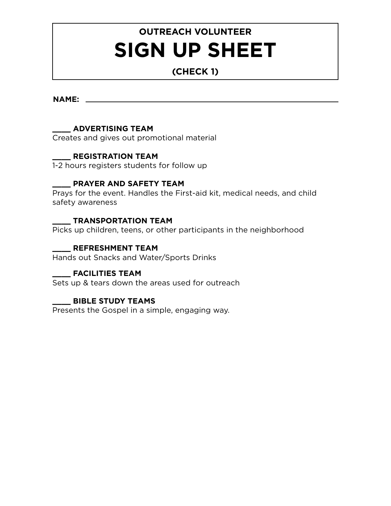### **OUTREACH VOLUNTEER SIGN UP SHEET**

#### **(CHECK 1)**

**NAME:**

#### **\_\_\_\_ ADVERTISING TEAM**

Creates and gives out promotional material

#### **\_\_\_\_ REGISTRATION TEAM**

1-2 hours registers students for follow up

#### **\_\_\_\_ PRAYER AND SAFETY TEAM**

Prays for the event. Handles the First-aid kit, medical needs, and child safety awareness

#### **\_\_\_\_ TRANSPORTATION TEAM**

Picks up children, teens, or other participants in the neighborhood

#### **\_\_\_\_ REFRESHMENT TEAM**

Hands out Snacks and Water/Sports Drinks

#### **\_\_\_\_ FACILITIES TEAM**

Sets up & tears down the areas used for outreach

#### **\_\_\_\_ BIBLE STUDY TEAMS**

Presents the Gospel in a simple, engaging way.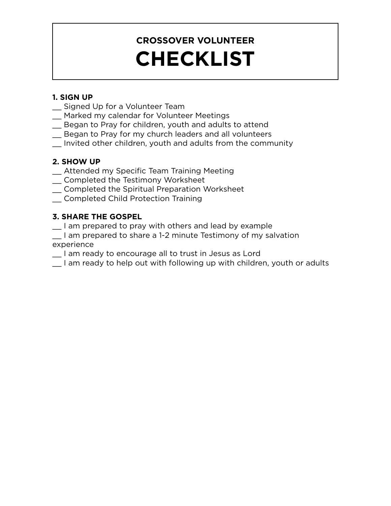## **CROSSOVER VOLUNTEER CHECKLIST**

#### **1. SIGN UP**

- \_\_ Signed Up for a Volunteer Team
- \_\_ Marked my calendar for Volunteer Meetings
- \_\_ Began to Pray for children, youth and adults to attend
- \_\_ Began to Pray for my church leaders and all volunteers
- \_\_ Invited other children, youth and adults from the community

#### **2. SHOW UP**

- \_\_ Attended my Specific Team Training Meeting
- \_\_ Completed the Testimony Worksheet
- \_\_ Completed the Spiritual Preparation Worksheet
- \_\_ Completed Child Protection Training

#### **3. SHARE THE GOSPEL**

- \_\_ I am prepared to pray with others and lead by example
- I am prepared to share a 1-2 minute Testimony of my salvation experience
- \_\_ I am ready to encourage all to trust in Jesus as Lord
- \_\_ I am ready to help out with following up with children, youth or adults